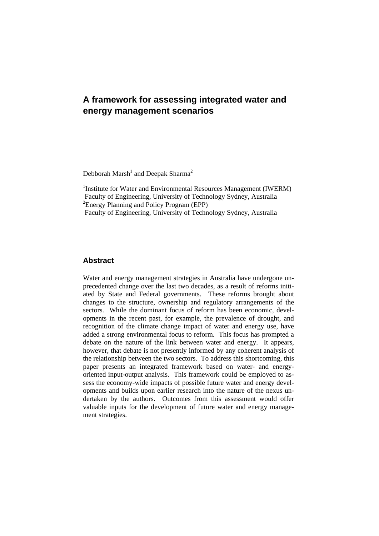# **A framework for assessing integrated water and energy management scenarios**

Debborah Marsh<sup>1</sup> and Deepak Sharma<sup>2</sup>

<sup>1</sup>Institute for Water and Environmental Resources Management (IWERM) Faculty of Engineering, University of Technology Sydney, Australia <sup>2</sup> Energy Planning and Policy Program (EPP) Faculty of Engineering, University of Technology Sydney, Australia

# **Abstract**

Water and energy management strategies in Australia have undergone unprecedented change over the last two decades, as a result of reforms initiated by State and Federal governments. These reforms brought about changes to the structure, ownership and regulatory arrangements of the sectors. While the dominant focus of reform has been economic, developments in the recent past, for example, the prevalence of drought, and recognition of the climate change impact of water and energy use, have added a strong environmental focus to reform. This focus has prompted a debate on the nature of the link between water and energy. It appears, however, that debate is not presently informed by any coherent analysis of the relationship between the two sectors. To address this shortcoming, this paper presents an integrated framework based on water- and energyoriented input-output analysis. This framework could be employed to assess the economy-wide impacts of possible future water and energy developments and builds upon earlier research into the nature of the nexus undertaken by the authors. Outcomes from this assessment would offer valuable inputs for the development of future water and energy management strategies.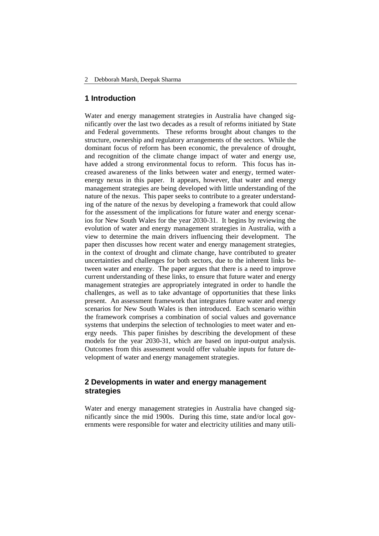## **1 Introduction**

Water and energy management strategies in Australia have changed significantly over the last two decades as a result of reforms initiated by State and Federal governments. These reforms brought about changes to the structure, ownership and regulatory arrangements of the sectors. While the dominant focus of reform has been economic, the prevalence of drought, and recognition of the climate change impact of water and energy use, have added a strong environmental focus to reform. This focus has increased awareness of the links between water and energy, termed waterenergy nexus in this paper. It appears, however, that water and energy management strategies are being developed with little understanding of the nature of the nexus. This paper seeks to contribute to a greater understanding of the nature of the nexus by developing a framework that could allow for the assessment of the implications for future water and energy scenarios for New South Wales for the year 2030-31. It begins by reviewing the evolution of water and energy management strategies in Australia, with a view to determine the main drivers influencing their development. The paper then discusses how recent water and energy management strategies, in the context of drought and climate change, have contributed to greater uncertainties and challenges for both sectors, due to the inherent links between water and energy. The paper argues that there is a need to improve current understanding of these links, to ensure that future water and energy management strategies are appropriately integrated in order to handle the challenges, as well as to take advantage of opportunities that these links present. An assessment framework that integrates future water and energy scenarios for New South Wales is then introduced. Each scenario within the framework comprises a combination of social values and governance systems that underpins the selection of technologies to meet water and energy needs. This paper finishes by describing the development of these models for the year 2030-31, which are based on input-output analysis. Outcomes from this assessment would offer valuable inputs for future development of water and energy management strategies.

# **2 Developments in water and energy management strategies**

Water and energy management strategies in Australia have changed significantly since the mid 1900s. During this time, state and/or local governments were responsible for water and electricity utilities and many utili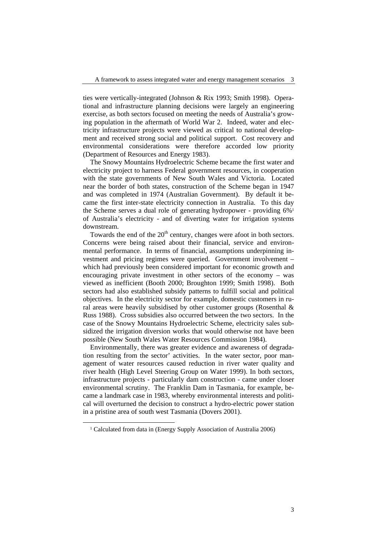ties were vertically-integrated (Johnson & Rix 1993; Smith 1998). Operational and infrastructure planning decisions were largely an engineering exercise, as both sectors focused on meeting the needs of Australia's growing population in the aftermath of World War 2. Indeed, water and electricity infrastructure projects were viewed as critical to national development and received strong social and political support. Cost recovery and environmental considerations were therefore accorded low priority (Department of Resources and Energy 1983).

The Snowy Mountains Hydroelectric Scheme became the first water and electricity project to harness Federal government resources, in cooperation with the state governments of New South Wales and Victoria. Located near the border of both states, construction of the Scheme began in 1947 and was completed in 1974 (Australian Government). By default it became the first inter-state electricity connection in Australia. To this day the Scheme serves a dual role of generating hydropower - providing 6%1 of Australia's electricity - and of diverting water for irrigation systems downstream.

Towards the end of the  $20<sup>th</sup>$  century, changes were afoot in both sectors. Concerns were being raised about their financial, service and environmental performance. In terms of financial, assumptions underpinning investment and pricing regimes were queried. Government involvement – which had previously been considered important for economic growth and encouraging private investment in other sectors of the economy – was viewed as inefficient (Booth 2000; Broughton 1999; Smith 1998). Both sectors had also established subsidy patterns to fulfill social and political objectives. In the electricity sector for example, domestic customers in rural areas were heavily subsidised by other customer groups (Rosenthal & Russ 1988). Cross subsidies also occurred between the two sectors. In the case of the Snowy Mountains Hydroelectric Scheme, electricity sales subsidized the irrigation diversion works that would otherwise not have been possible (New South Wales Water Resources Commission 1984).

Environmentally, there was greater evidence and awareness of degradation resulting from the sector' activities. In the water sector, poor management of water resources caused reduction in river water quality and river health (High Level Steering Group on Water 1999). In both sectors, infrastructure projects - particularly dam construction - came under closer environmental scrutiny. The Franklin Dam in Tasmania, for example, became a landmark case in 1983, whereby environmental interests and political will overturned the decision to construct a hydro-electric power station in a pristine area of south west Tasmania (Dovers 2001).

 <sup>1</sup> Calculated from data in (Energy Supply Association of Australia 2006)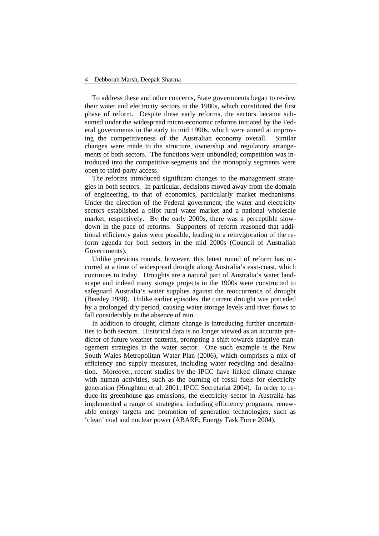To address these and other concerns, State governments began to review their water and electricity sectors in the 1980s, which constituted the first phase of reform. Despite these early reforms, the sectors became subsumed under the widespread micro-economic reforms initiated by the Federal governments in the early to mid 1990s, which were aimed at improving the competitiveness of the Australian economy overall. Similar changes were made to the structure, ownership and regulatory arrangements of both sectors. The functions were unbundled; competition was introduced into the competitive segments and the monopoly segments were open to third-party access.

The reforms introduced significant changes to the management strategies in both sectors. In particular, decisions moved away from the domain of engineering, to that of economics, particularly market mechanisms. Under the direction of the Federal government, the water and electricity sectors established a pilot rural water market and a national wholesale market, respectively. By the early 2000s, there was a perceptible slowdown in the pace of reforms. Supporters of reform reasoned that additional efficiency gains were possible, leading to a reinvigoration of the reform agenda for both sectors in the mid 2000s (Council of Australian Governments).

Unlike previous rounds, however, this latest round of reform has occurred at a time of widespread drought along Australia's east-coast, which continues to today. Droughts are a natural part of Australia's water landscape and indeed many storage projects in the 1900s were constructed to safeguard Australia's water supplies against the reoccurrence of drought (Beasley 1988). Unlike earlier episodes, the current drought was preceded by a prolonged dry period, causing water storage levels and river flows to fall considerably in the absence of rain.

In addition to drought, climate change is introducing further uncertainties to both sectors. Historical data is no longer viewed as an accurate predictor of future weather patterns, prompting a shift towards adaptive management strategies in the water sector. One such example is the New South Wales Metropolitan Water Plan (2006), which comprises a mix of efficiency and supply measures, including water recycling and desalination. Moreover, recent studies by the IPCC have linked climate change with human activities, such as the burning of fossil fuels for electricity generation (Houghton et al. 2001; IPCC Secretariat 2004). In order to reduce its greenhouse gas emissions, the electricity sector in Australia has implemented a range of strategies, including efficiency programs, renewable energy targets and promotion of generation technologies, such as 'clean' coal and nuclear power (ABARE; Energy Task Force 2004).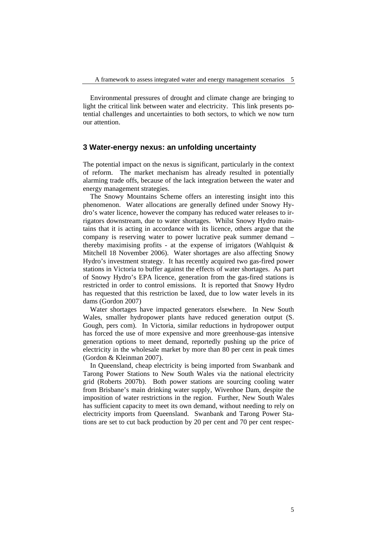Environmental pressures of drought and climate change are bringing to light the critical link between water and electricity. This link presents potential challenges and uncertainties to both sectors, to which we now turn our attention.

# **3 Water-energy nexus: an unfolding uncertainty**

The potential impact on the nexus is significant, particularly in the context of reform. The market mechanism has already resulted in potentially alarming trade offs, because of the lack integration between the water and energy management strategies.

The Snowy Mountains Scheme offers an interesting insight into this phenomenon. Water allocations are generally defined under Snowy Hydro's water licence, however the company has reduced water releases to irrigators downstream, due to water shortages. Whilst Snowy Hydro maintains that it is acting in accordance with its licence, others argue that the company is reserving water to power lucrative peak summer demand – thereby maximising profits - at the expense of irrigators (Wahlquist  $\&$ Mitchell 18 November 2006). Water shortages are also affecting Snowy Hydro's investment strategy. It has recently acquired two gas-fired power stations in Victoria to buffer against the effects of water shortages. As part of Snowy Hydro's EPA licence, generation from the gas-fired stations is restricted in order to control emissions. It is reported that Snowy Hydro has requested that this restriction be laxed, due to low water levels in its dams (Gordon 2007)

Water shortages have impacted generators elsewhere. In New South Wales, smaller hydropower plants have reduced generation output (S. Gough, pers com). In Victoria, similar reductions in hydropower output has forced the use of more expensive and more greenhouse-gas intensive generation options to meet demand, reportedly pushing up the price of electricity in the wholesale market by more than 80 per cent in peak times (Gordon & Kleinman 2007).

In Queensland, cheap electricity is being imported from Swanbank and Tarong Power Stations to New South Wales via the national electricity grid (Roberts 2007b). Both power stations are sourcing cooling water from Brisbane's main drinking water supply, Wivenhoe Dam, despite the imposition of water restrictions in the region. Further, New South Wales has sufficient capacity to meet its own demand, without needing to rely on electricity imports from Queensland. Swanbank and Tarong Power Stations are set to cut back production by 20 per cent and 70 per cent respec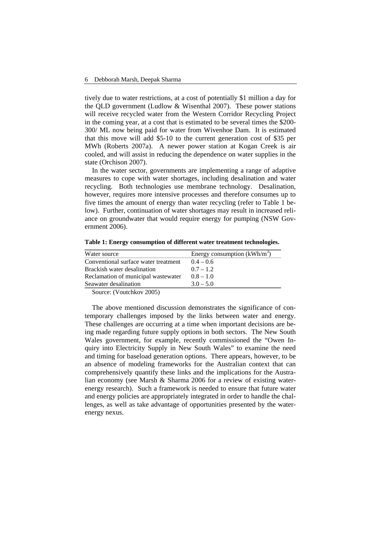tively due to water restrictions, at a cost of potentially \$1 million a day for the QLD government (Ludlow & Wisenthal 2007). These power stations will receive recycled water from the Western Corridor Recycling Project in the coming year, at a cost that is estimated to be several times the \$200- 300/ ML now being paid for water from Wivenhoe Dam. It is estimated that this move will add \$5-10 to the current generation cost of \$35 per MWh (Roberts 2007a). A newer power station at Kogan Creek is air cooled, and will assist in reducing the dependence on water supplies in the state (Orchison 2007).

In the water sector, governments are implementing a range of adaptive measures to cope with water shortages, including desalination and water recycling. Both technologies use membrane technology. Desalination, however, requires more intensive processes and therefore consumes up to five times the amount of energy than water recycling (refer to Table 1 below). Further, continuation of water shortages may result in increased reliance on groundwater that would require energy for pumping (NSW Government 2006).

| Water source                         | Energy consumption $(kWh/m^3)$ |  |  |  |  |
|--------------------------------------|--------------------------------|--|--|--|--|
| Conventional surface water treatment | $0.4 - 0.6$                    |  |  |  |  |
| Brackish water desalination          | $0.7 - 1.2$                    |  |  |  |  |
| Reclamation of municipal wastewater  | $0.8 - 1.0$                    |  |  |  |  |
| Seawater desalination                | $3.0 - 5.0$                    |  |  |  |  |

**Table 1: Energy consumption of different water treatment technologies.**

Source: (Voutchkov 2005)

The above mentioned discussion demonstrates the significance of contemporary challenges imposed by the links between water and energy. These challenges are occurring at a time when important decisions are being made regarding future supply options in both sectors. The New South Wales government, for example, recently commissioned the "Owen Inquiry into Electricity Supply in New South Wales" to examine the need and timing for baseload generation options. There appears, however, to be an absence of modeling frameworks for the Australian context that can comprehensively quantify these links and the implications for the Australian economy (see Marsh & Sharma 2006 for a review of existing waterenergy research). Such a framework is needed to ensure that future water and energy policies are appropriately integrated in order to handle the challenges, as well as take advantage of opportunities presented by the waterenergy nexus.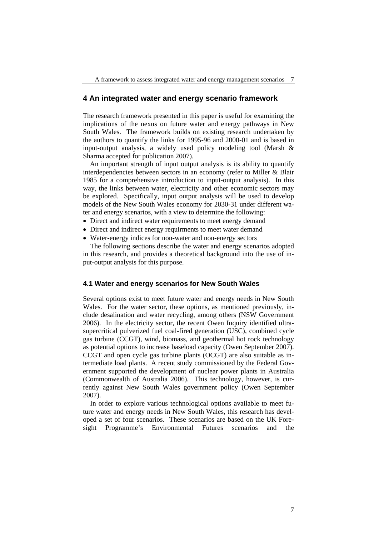### **4 An integrated water and energy scenario framework**

The research framework presented in this paper is useful for examining the implications of the nexus on future water and energy pathways in New South Wales. The framework builds on existing research undertaken by the authors to quantify the links for 1995-96 and 2000-01 and is based in input-output analysis, a widely used policy modeling tool (Marsh & Sharma accepted for publication 2007).

An important strength of input output analysis is its ability to quantify interdependencies between sectors in an economy (refer to Miller & Blair 1985 for a comprehensive introduction to input-output analysis). In this way, the links between water, electricity and other economic sectors may be explored. Specifically, input output analysis will be used to develop models of the New South Wales economy for 2030-31 under different water and energy scenarios, with a view to determine the following:

- Direct and indirect water requirements to meet energy demand
- Direct and indirect energy requirments to meet water demand
- Water-energy indices for non-water and non-energy sectors

The following sections describe the water and energy scenarios adopted in this research, and provides a theoretical background into the use of input-output analysis for this purpose.

### **4.1 Water and energy scenarios for New South Wales**

Several options exist to meet future water and energy needs in New South Wales. For the water sector, these options, as mentioned previously, include desalination and water recycling, among others (NSW Government 2006). In the electricity sector, the recent Owen Inquiry identified ultrasupercritical pulverized fuel coal-fired generation (USC), combined cycle gas turbine (CCGT), wind, biomass, and geothermal hot rock technology as potential options to increase baseload capacity (Owen September 2007). CCGT and open cycle gas turbine plants (OCGT) are also suitable as intermediate load plants. A recent study commissioned by the Federal Government supported the development of nuclear power plants in Australia (Commonwealth of Australia 2006). This technology, however, is currently against New South Wales government policy (Owen September 2007).

In order to explore various technological options available to meet future water and energy needs in New South Wales, this research has developed a set of four scenarios. These scenarios are based on the UK Foresight Programme's Environmental Futures scenarios and the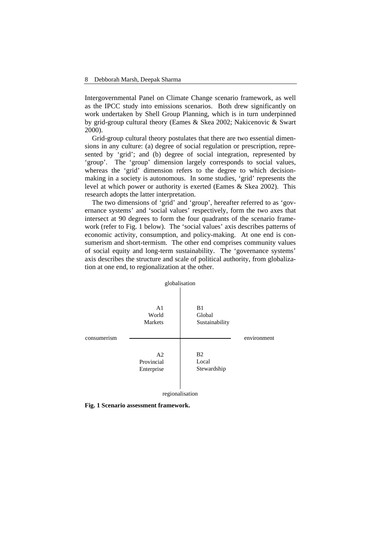Intergovernmental Panel on Climate Change scenario framework, as well as the IPCC study into emissions scenarios. Both drew significantly on work undertaken by Shell Group Planning, which is in turn underpinned by grid-group cultural theory (Eames & Skea 2002; Nakicenovic & Swart 2000).

Grid-group cultural theory postulates that there are two essential dimensions in any culture: (a) degree of social regulation or prescription, represented by 'grid'; and (b) degree of social integration, represented by 'group'. The 'group' dimension largely corresponds to social values, whereas the 'grid' dimension refers to the degree to which decisionmaking in a society is autonomous. In some studies, 'grid' represents the level at which power or authority is exerted (Eames & Skea 2002). This research adopts the latter interpretation.

The two dimensions of 'grid' and 'group', hereafter referred to as 'governance systems' and 'social values' respectively, form the two axes that intersect at 90 degrees to form the four quadrants of the scenario framework (refer to Fig. 1 below). The 'social values' axis describes patterns of economic activity, consumption, and policy-making. At one end is consumerism and short-termism. The other end comprises community values of social equity and long-term sustainability. The 'governance systems' axis describes the structure and scale of political authority, from globalization at one end, to regionalization at the other.



**Fig. 1 Scenario assessment framework.**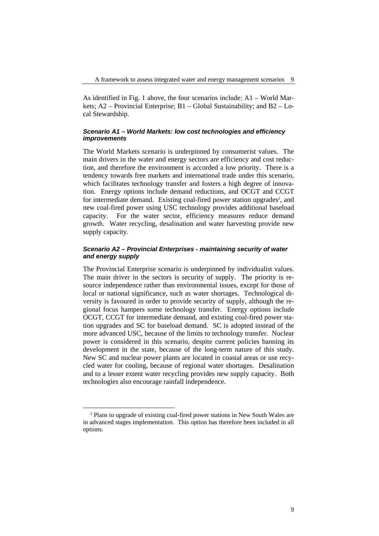As identified in Fig. 1 above, the four scenarios include: A1 – World Markets; A2 – Provincial Enterprise; B1 – Global Sustainability; and B2 – Local Stewardship.

#### *Scenario A1 – World Markets: low cost technologies and efficiency improvements*

The World Markets scenario is underpinned by consumerist values. The main drivers in the water and energy sectors are efficiency and cost reduction, and therefore the environment is accorded a low priority. There is a tendency towards free markets and international trade under this scenario, which facilitates technology transfer and fosters a high degree of innovation. Energy options include demand reductions, and OCGT and CCGT for intermediate demand. Existing coal-fired power station upgrades<sup>2</sup>, and new coal-fired power using USC technology provides additional baseload capacity. For the water sector, efficiency measures reduce demand growth. Water recycling, desalination and water harvesting provide new supply capacity.

### *Scenario A2 – Provincial Enterprises - maintaining security of water and energy supply*

The Provincial Enterprise scenario is underpinned by individualist values. The main driver in the sectors is security of supply. The priority is resource independence rather than environmental issues, except for those of local or national significance, such as water shortages. Technological diversity is favoured in order to provide security of supply, although the regional focus hampers some technology transfer. Energy options include OCGT, CCGT for intermediate demand, and existing coal-fired power station upgrades and SC for baseload demand. SC is adopted instead of the more advanced USC, because of the limits to technology transfer. Nuclear power is considered in this scenario, despite current policies banning its development in the state, because of the long-term nature of this study. New SC and nuclear power plants are located in coastal areas or use recycled water for cooling, because of regional water shortages. Desalination and to a lesser extent water recycling provides new supply capacity. Both technologies also encourage rainfall independence.

 <sup>2</sup> Plans to upgrade of existing coal-fired power stations in New South Wales are in advanced stages implementation. This option has therefore been included in all options.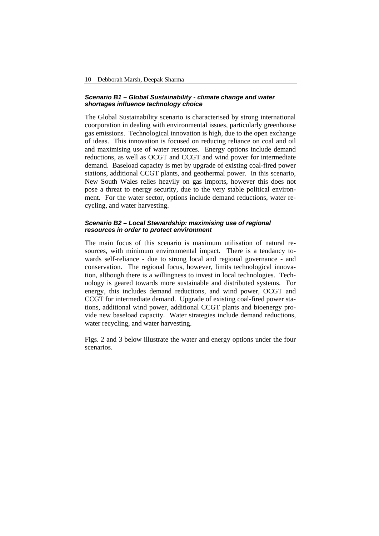#### *Scenario B1 – Global Sustainability - climate change and water shortages influence technology choice*

The Global Sustainability scenario is characterised by strong international coorporation in dealing with environmental issues, particularly greenhouse gas emissions. Technological innovation is high, due to the open exchange of ideas. This innovation is focused on reducing reliance on coal and oil and maximising use of water resources. Energy options include demand reductions, as well as OCGT and CCGT and wind power for intermediate demand. Baseload capacity is met by upgrade of existing coal-fired power stations, additional CCGT plants, and geothermal power. In this scenario, New South Wales relies heavily on gas imports, however this does not pose a threat to energy security, due to the very stable political environment. For the water sector, options include demand reductions, water recycling, and water harvesting.

#### *Scenario B2 – Local Stewardship: maximising use of regional resources in order to protect environment*

The main focus of this scenario is maximum utilisation of natural resources, with minimum environmental impact. There is a tendancy towards self-reliance - due to strong local and regional governance - and conservation. The regional focus, however, limits technological innovation, although there is a willingness to invest in local technologies. Technology is geared towards more sustainable and distributed systems. For energy, this includes demand reductions, and wind power, OCGT and CCGT for intermediate demand. Upgrade of existing coal-fired power stations, additional wind power, additional CCGT plants and bioenergy provide new baseload capacity. Water strategies include demand reductions, water recycling, and water harvesting.

Figs. 2 and 3 below illustrate the water and energy options under the four scenarios.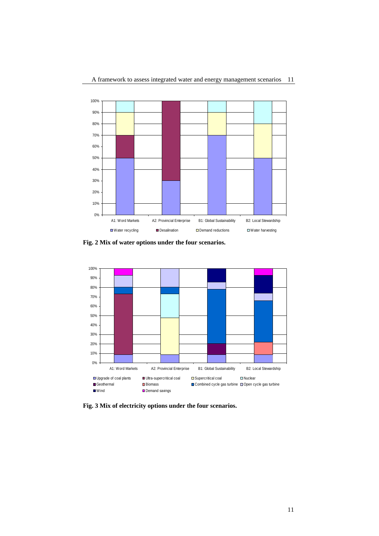

**Fig. 2 Mix of water options under the four scenarios.**



**Fig. 3 Mix of electricity options under the four scenarios.**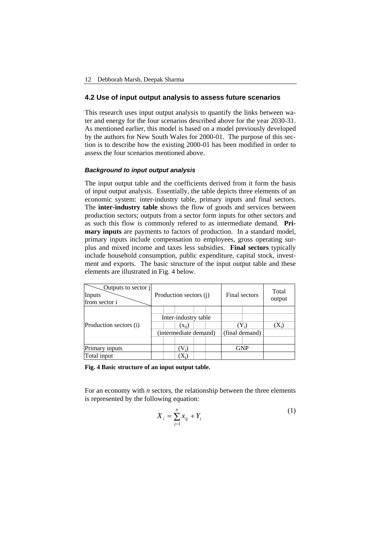## **4.2 Use of input output analysis to assess future scenarios**

This research uses input output analysis to quantify the links between water and energy for the four scenarios described above for the year 2030-31. As mentioned earlier, this model is based on a model previously developed by the authors for New South Wales for 2000-01. The purpose of this section is to describe how the existing 2000-01 has been modified in order to assess the four scenarios mentioned above.

### *Background to input output analysis*

The input output table and the coefficients derived from it form the basis of input output analysis. Essentially, the table depicts three elements of an economic system: inter-industry table, primary inputs and final sectors. The **inter-industry table s**hows the flow of goods and services between production sectors; outputs from a sector form inputs for other sectors and as such this flow is commonly refered to as intermediate demand. **Primary inputs** are payments to factors of production. In a standard model, primary inputs include compensation to employees, gross operating surplus and mixed income and taxes less subsidies. **Final sectors** typically include household consumption, public expenditure, capital stock, investment and exports. The basic structure of the input output table and these elements are illustrated in Fig. 4 below.

| Outputs to sector j<br>Inputs<br>from sector i | Production sectors (j) |  |            | Final sectors  |  | Total<br>output |         |         |
|------------------------------------------------|------------------------|--|------------|----------------|--|-----------------|---------|---------|
| Production sectors (i)                         |                        |  |            |                |  |                 |         |         |
|                                                | Inter-industry table   |  |            |                |  |                 |         |         |
|                                                |                        |  | $(x_{ii})$ |                |  |                 | $(Y_i)$ | $(X_i)$ |
|                                                | (intermediate demand)  |  |            | (final demand) |  |                 |         |         |
|                                                |                        |  |            |                |  |                 |         |         |
| Primary inputs                                 | V.)                    |  |            | <b>GNP</b>     |  |                 |         |         |
| Total input                                    |                        |  |            |                |  |                 |         |         |

**Fig. 4 Basic structure of an input output table.**

For an economy with *n* sectors, the relationship between the three elements is represented by the following equation:

$$
X_i = \sum_{j=1}^n x_{ij} + Y_i
$$
 (1)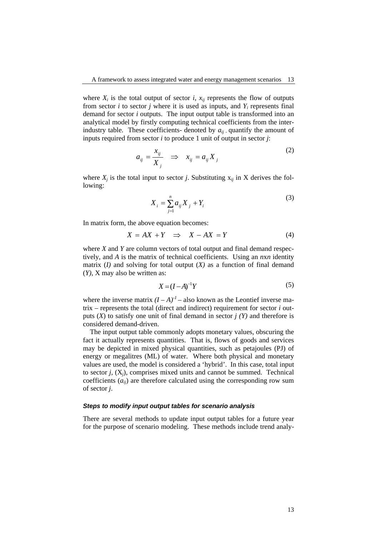where  $X_i$  is the total output of sector  $i$ ,  $x_{ij}$  represents the flow of outputs from sector *i* to sector *j* where it is used as inputs, and  $Y_i$  represents final demand for sector *i* outputs. The input output table is transformed into an analytical model by firstly computing technical coefficients from the interindustry table. These coefficients- denoted by  $a_{ii}$  quantify the amount of inputs required from sector *i* to produce 1 unit of output in sector *j*:

$$
a_{ij} = \frac{x_{ij}}{X_j} \quad \Rightarrow \quad x_{ij} = a_{ij} X_j \tag{2}
$$

where  $X_i$  is the total input to sector *j*. Substituting  $X_{ii}$  in X derives the following:

$$
X_i = \sum_{j=1}^n a_{ij} X_j + Y_i
$$
 (3)

In matrix form, the above equation becomes:

$$
X = AX + Y \implies X - AX = Y \tag{4}
$$

where *X* and *Y* are column vectors of total output and final demand respectively, and *A* is the matrix of technical coefficients. Using an *n*x*n* identity matrix (*I)* and solving for total output (*X)* as a function of final demand (*Y)*, X may also be written as:

$$
X = (I - A)^{-1}Y
$$
 (5)

where the inverse matrix  $(I - A)^{-1}$  – also known as the Leontief inverse matrix – represents the total (direct and indirect) requirement for sector *i* outputs (*X*) to satisfy one unit of final demand in sector *j (Y)* and therefore is considered demand-driven.

The input output table commonly adopts monetary values, obscuring the fact it actually represents quantities. That is, flows of goods and services may be depicted in mixed physical quantities, such as petajoules (PJ) of energy or megalitres (ML) of water. Where both physical and monetary values are used, the model is considered a 'hybrid'. In this case, total input to sector  $j$ ,  $(X<sub>i</sub>)$ , comprises mixed units and cannot be summed. Technical coefficients (*aij*) are therefore calculated using the corresponding row sum of sector *j*.

#### *Steps to modify input output tables for scenario analysis*

There are several methods to update input output tables for a future year for the purpose of scenario modeling. These methods include trend analy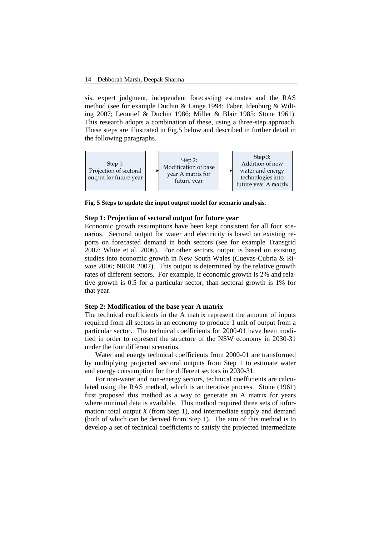sis, expert judgment, independent forecasting estimates and the RAS method (see for example Duchin & Lange 1994; Faber, Idenburg & Wilting 2007; Leontief & Duchin 1986; Miller & Blair 1985; Stone 1961). This research adopts a combination of these, using a three-step approach. These steps are illustrated in Fig.5 below and described in further detail in the following paragraphs.



**Fig. 5 Steps to update the input output model for scenario analysis.**

#### **Step 1: Projection of sectoral output for future year**

Economic growth assumptions have been kept consistent for all four scenarios. Sectoral output for water and electricity is based on existing reports on forecasted demand in both sectors (see for example Transgrid 2007; White et al. 2006). For other sectors, output is based on existing studies into economic growth in New South Wales (Cuevas-Cubria & Riwoe 2006; NIEIR 2007). This output is determined by the relative growth rates of different sectors. For example, if economic growth is 2% and relative growth is 0.5 for a particular sector, than sectoral growth is 1% for that year.

#### **Step 2: Modification of the base year A matrix**

The technical coefficients in the A matrix represent the amount of inputs required from all sectors in an economy to produce 1 unit of output from a particular sector. The technical coefficients for 2000-01 have been modified in order to represent the structure of the NSW economy in 2030-31 under the four different scenarios.

Water and energy technical coefficients from 2000-01 are transformed by multiplying projected sectoral outputs from Step 1 to estimate water and energy consumption for the different sectors in 2030-31.

For non-water and non-energy sectors, technical coefficients are calculated using the RAS method, which is an iterative process. Stone (1961) first proposed this method as a way to generate an A matrix for years where minimal data is available. This method required three sets of information: total output *X* (from Step 1), and intermediate supply and demand (both of which can be derived from Step 1). The aim of this method is to develop a set of technical coefficients to satisfy the projected intermediate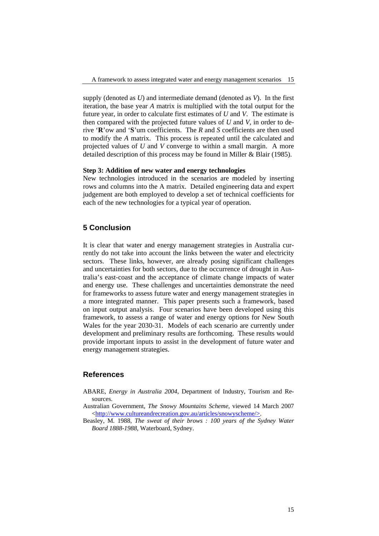supply (denoted as *U*) and intermediate demand (denoted as *V*). In the first iteration, the base year *A* matrix is multiplied with the total output for the future year, in order to calculate first estimates of *U* and *V*. The estimate is then compared with the projected future values of *U* and *V*, in order to derive '**R**'ow and '**S**'um coefficients. The *R* and *S* coefficients are then used to modify the *A* matrix. This process is repeated until the calculated and projected values of *U* and *V* converge to within a small margin. A more detailed description of this process may be found in Miller & Blair (1985).

#### **Step 3: Addition of new water and energy technologies**

New technologies introduced in the scenarios are modeled by inserting rows and columns into the A matrix. Detailed engineering data and expert judgement are both employed to develop a set of technical coefficients for each of the new technologies for a typical year of operation.

# **5 Conclusion**

It is clear that water and energy management strategies in Australia currently do not take into account the links between the water and electricity sectors. These links, however, are already posing significant challenges and uncertainties for both sectors, due to the occurrence of drought in Australia's east-coast and the acceptance of climate change impacts of water and energy use. These challenges and uncertainties demonstrate the need for frameworks to assess future water and energy management strategies in a more integrated manner. This paper presents such a framework, based on input output analysis. Four scenarios have been developed using this framework, to assess a range of water and energy options for New South Wales for the year 2030-31. Models of each scenario are currently under development and preliminary results are forthcoming. These results would provide important inputs to assist in the development of future water and energy management strategies.

# **References**

- ABARE, *Energy in Australia 2004*, Department of Industry, Tourism and Resources.
- Australian Government, *The Snowy Mountains Scheme*, viewed 14 March 2007 <http://www.cultureandrecreation.gov.au/articles/snowyscheme/>.
- Beasley, M. 1988, *The sweat of their brows : 100 years of the Sydney Water Board 1888-1988*, Waterboard, Sydney.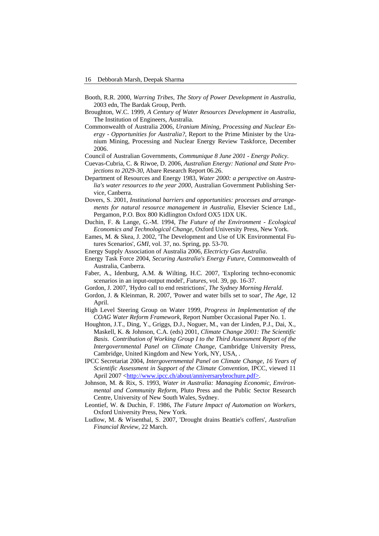- Booth, R.R. 2000, *Warring Tribes, The Story of Power Development in Australia*, 2003 edn, The Bardak Group, Perth.
- Broughton, W.C. 1999, *A Century of Water Resources Development in Australia*, The Institution of Engineers, Australia.
- Commonwealth of Australia 2006, *Uranium Mining, Processing and Nuclear Energy - Opportunities for Australia?*, Report to the Prime Minister by the Uranium Mining, Processing and Nuclear Energy Review Taskforce, December 2006.
- Council of Australian Governments, *Communique 8 June 2001 Energy Policy*.
- Cuevas-Cubria, C. & Riwoe, D. 2006, *Australian Energy: National and State Projections to 2029-30*, Abare Research Report 06.26.
- Department of Resources and Energy 1983, *Water 2000: a perspective on Australia's water resources to the year 2000*, Australian Government Publishing Service, Canberra.
- Dovers, S. 2001, *Institutional barriers and opportunities: processes and arrangements for natural resource management in Australia*, Elsevier Science Ltd., Pergamon, P.O. Box 800 Kidlington Oxford OX5 1DX UK.
- Duchin, F. & Lange, G.-M. 1994, *The Future of the Environment Ecological Economics and Technological Change*, Oxford University Press, New York.
- Eames, M. & Skea, J. 2002, 'The Development and Use of UK Environmental Futures Scenarios', *GMI*, vol. 37, no. Spring, pp. 53-70.
- Energy Supply Association of Australia 2006, *Electricty Gas Australia*.
- Energy Task Force 2004, *Securing Australia's Energy Future*, Commonwealth of Australia, Canberra.
- Faber, A., Idenburg, A.M. & Wilting, H.C. 2007, 'Exploring techno-economic scenarios in an input-output model', *Futures*, vol. 39, pp. 16-37.
- Gordon, J. 2007, 'Hydro call to end restrictions', *The Sydney Morning Herald*.
- Gordon, J. & Kleinman, R. 2007, 'Power and water bills set to soar', *The Age*, 12 April.
- High Level Steering Group on Water 1999, *Progress in Implementation of the COAG Water Reform Framework*, Report Number Occasional Paper No. 1.
- Houghton, J.T., Ding, Y., Griggs, D.J., Noguer, M., van der Linden, P.J., Dai, X., Maskell, K. & Johnson, C.A. (eds) 2001, *Climate Change 2001: The Scientific Basis. Contribution of Working Group I to the Third Assessment Report of the Intergovernmental Panel on Climate Change*, Cambridge University Press, Cambridge, United Kingdom and New York, NY, USA, .
- IPCC Secretariat 2004, *Intergovernmental Panel on Climate Change, 16 Years of Scientific Assessment in Support of the Climate Convention*, IPCC, viewed 11 April 2007 <http://www.ipcc.ch/about/anniversarybrochure.pdf>.
- Johnson, M. & Rix, S. 1993, *Water in Australia: Managing Economic, Environmental and Community Reform*, Pluto Press and the Public Sector Research Centre, University of New South Wales, Sydney.
- Leontief, W. & Duchin, F. 1986, *The Future Impact of Automation on Workers*, Oxford University Press, New York.
- Ludlow, M. & Wisenthal, S. 2007, 'Drought drains Beattie's coffers', *Australian Financial Review*, 22 March.